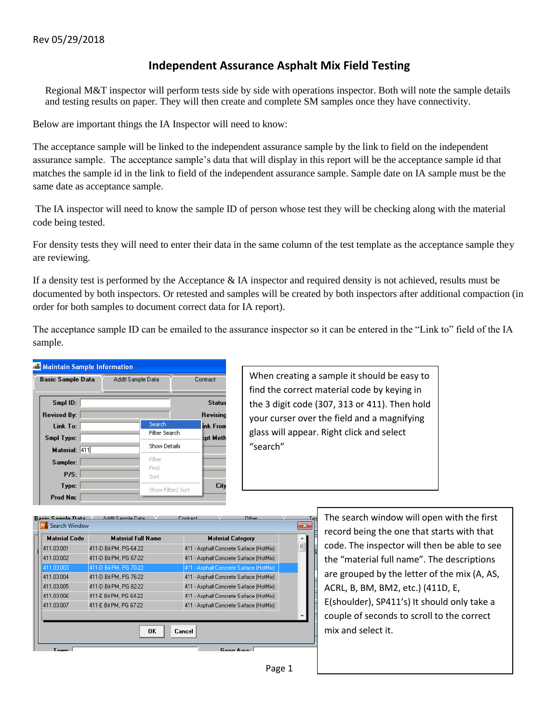## **Independent Assurance Asphalt Mix Field Testing**

Regional M&T inspector will perform tests side by side with operations inspector. Both will note the sample details and testing results on paper. They will then create and complete SM samples once they have connectivity.

Below are important things the IA Inspector will need to know:

The acceptance sample will be linked to the independent assurance sample by the link to field on the independent assurance sample. The acceptance sample's data that will display in this report will be the acceptance sample id that matches the sample id in the link to field of the independent assurance sample. Sample date on IA sample must be the same date as acceptance sample.

The IA inspector will need to know the sample ID of person whose test they will be checking along with the material code being tested.

For density tests they will need to enter their data in the same column of the test template as the acceptance sample they are reviewing.

If a density test is performed by the Acceptance & IA inspector and required density is not achieved, results must be documented by both inspectors. Or retested and samples will be created by both inspectors after additional compaction (in order for both samples to document correct data for IA report).

The acceptance sample ID can be emailed to the assurance inspector so it can be entered in the "Link to" field of the IA sample.



When creating a sample it should be easy to find the correct material code by keying in the 3 digit code (307, 313 or 411). Then hold your curser over the field and a magnifying glass will appear. Right click and select "search"



The search window will open with the first record being the one that starts with that code. The inspector will then be able to see the "material full name". The descriptions are grouped by the letter of the mix (A, AS, ACRL, B, BM, BM2, etc.) (411D, E, E(shoulder), SP411's) It should only take a couple of seconds to scroll to the correct mix and select it.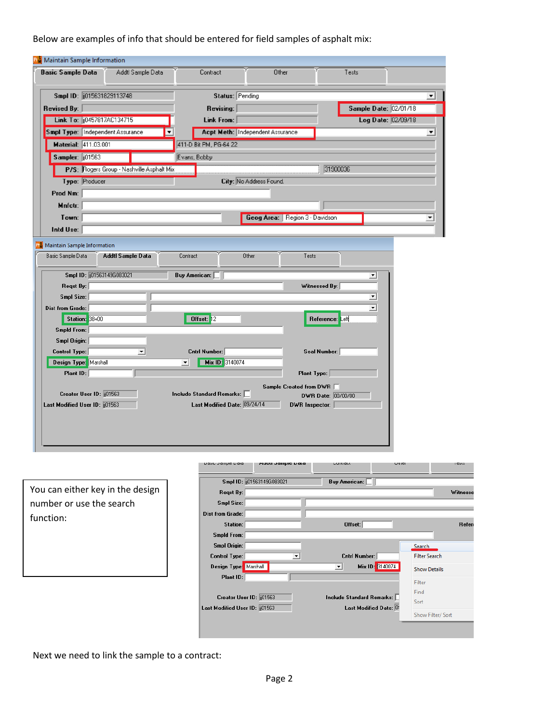Below are examples of info that should be entered for field samples of asphalt mix:

| <b>Basic Sample Data</b>                                                       | Addtl Sample Data                                          | Contract                               | Other                            | Tests                 |                      |
|--------------------------------------------------------------------------------|------------------------------------------------------------|----------------------------------------|----------------------------------|-----------------------|----------------------|
| Smpl ID: 015631829113748                                                       |                                                            | Status: Pending                        |                                  |                       | ▼                    |
| Revised By:                                                                    |                                                            | Revising:                              |                                  | Sample Date: 02/01/18 |                      |
| Link To:   10457817AC134715                                                    |                                                            | Link From:                             |                                  |                       | Log Date: 02/09/18   |
| Smpl Type:   Independent Assurance                                             |                                                            |                                        | Acpt Meth: Independent Assurance |                       | $\blacktriangledown$ |
| Material: 411.03.001                                                           |                                                            | 411-D Bit PM, PG-64 22                 |                                  |                       |                      |
| Sampler: 01563                                                                 |                                                            | Evans, Bobby                           |                                  |                       |                      |
|                                                                                | P/S: Rogers Group - Nashville Asphalt Mix                  |                                        |                                  | 31900036              |                      |
| Type: Producer                                                                 |                                                            |                                        | City: No Address Found.          |                       |                      |
| Prod Nm:                                                                       |                                                            |                                        |                                  |                       |                      |
| Mnfctr:                                                                        |                                                            |                                        |                                  |                       |                      |
| Town:                                                                          |                                                            |                                        | Geog Area: Region 3 - Davidson   |                       | ▼                    |
| Intd Use:                                                                      |                                                            |                                        |                                  |                       |                      |
|                                                                                | <b>PM</b> Maintain Sample Information<br>Addtl Sample Data | Contract                               | Other<br>Tests                   |                       |                      |
| Smpl ID: 01563149G083021<br>Reqst By:                                          |                                                            | Buy American:                          |                                  | ▾<br>Witnessed By:    |                      |
| Smpl Size:                                                                     |                                                            |                                        |                                  | ▼                     |                      |
|                                                                                |                                                            |                                        |                                  | ▼                     |                      |
| Station: 38+00                                                                 |                                                            | Offset: 12                             |                                  | Reference: Left       |                      |
| <b>Smpld From:</b>                                                             |                                                            |                                        |                                  |                       |                      |
| Smpl Origin:                                                                   |                                                            |                                        |                                  |                       |                      |
| Control Type:                                                                  | $\blacktriangledown$                                       | Cntrl Number:                          |                                  | Seal Number:          |                      |
| Design Type: Marshall                                                          |                                                            | Mix ID: 3140074<br>$\vert \cdot \vert$ |                                  |                       |                      |
| Plant ID:                                                                      |                                                            |                                        | Plant Type:                      |                       |                      |
| Creator User ID: [101563]                                                      |                                                            | Include Standard Remarks:              | Sample Created from DWR □        | DWR Date: 00/00/00    |                      |
| Basic Sample Data<br><b>Dist from Grade:</b><br>Last Modified User ID: [01563] |                                                            | Last Modified Date: 09/24/14           | DWR Inspector:                   |                       |                      |
|                                                                                |                                                            |                                        |                                  |                       |                      |

You can either key in the design number or use the search function:

| nasir nailihic nara          | waan nambie nara           | contract                                    | <b>OUICI</b>         | 1020     |
|------------------------------|----------------------------|---------------------------------------------|----------------------|----------|
|                              | Smpl ID: (01563149G083021) | Buy American:                               |                      |          |
| Regst By:                    |                            |                                             |                      | Witnesse |
| Smpl Size:                   |                            |                                             |                      |          |
| Dist from Grade:             |                            |                                             |                      |          |
| Station:                     |                            | Offset:                                     |                      | Refere   |
| Smpld From:                  |                            |                                             |                      |          |
| Smpl Origin:                 |                            |                                             | Search               |          |
| <b>Control Type:</b>         | ▾                          | Cntrl Number:                               | <b>Filter Search</b> |          |
| Design Type: Marshall        |                            | Mix ID: 3140074<br>$\overline{\phantom{a}}$ | <b>Show Details</b>  |          |
| Plant ID:                    |                            |                                             | Filter               |          |
|                              |                            |                                             | Find                 |          |
| Creator User ID: [101563]    |                            | <b>Include Standard Remarks:</b>            | Sort                 |          |
| Last Modified User ID: 01563 |                            | Last Modified Date: 0!                      |                      |          |
|                              |                            |                                             | Show Filter/ Sort    |          |

Next we need to link the sample to a contract: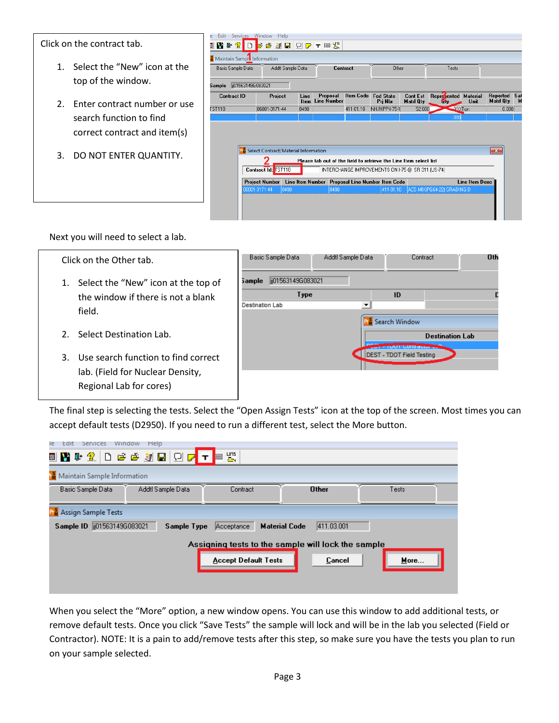Click on the contract tab.

- 1. Select the "New" icon at the top of the window.
- 2. Enter contract number or use search function to find correct contract and item(s)
- 3. DO NOT ENTER QUANTITY.

| Edit         | Services Window             |                                                            | Help              |              |                                |      |           |                                                                   |                              |                            |                         |                              |          |
|--------------|-----------------------------|------------------------------------------------------------|-------------------|--------------|--------------------------------|------|-----------|-------------------------------------------------------------------|------------------------------|----------------------------|-------------------------|------------------------------|----------|
|              | V I 2<br>$\Box$             | <b>BBDDTES</b>                                             |                   |              |                                |      |           |                                                                   |                              |                            |                         |                              |          |
|              | Maintain Sample Information |                                                            |                   |              |                                |      |           |                                                                   |                              |                            |                         |                              |          |
|              | Basic Sample Data           |                                                            | Addtl Sample Data |              |                                |      | Contract  | Other                                                             |                              | Tests                      |                         |                              |          |
| Sample       | ii01563149G083021           |                                                            |                   |              |                                |      |           |                                                                   |                              |                            |                         |                              |          |
|              | <b>Contract ID</b>          | Project                                                    |                   | Line<br>Item | Proposal<br><b>Line Number</b> |      |           | Item Code Fed State<br>Pri Nbr                                    | Cont Est<br><b>Matri Qtv</b> | <b>Represented</b><br>÷.   | <b>Material</b><br>Unit | Reported<br><b>Matri Qtv</b> | Sat<br>М |
| <b>ST118</b> |                             | 06001-3171-44                                              |                   | 0490         |                                |      | 411-01.10 | NH/HPP-I-75-1                                                     | 52,000                       | $-000$ Ton                 |                         | 0.000                        |          |
|              |                             |                                                            |                   |              |                                |      |           |                                                                   |                              | ,000                       |                         |                              |          |
|              |                             |                                                            |                   |              |                                |      |           |                                                                   |                              |                            |                         |                              |          |
|              |                             |                                                            |                   |              |                                |      |           |                                                                   |                              |                            |                         |                              |          |
|              |                             | <b>R</b> <sup>8</sup> Select Contract/Material Information |                   |              |                                |      |           |                                                                   |                              |                            |                         | $-x$                         |          |
|              |                             |                                                            |                   |              |                                |      |           |                                                                   |                              |                            |                         |                              |          |
|              |                             |                                                            |                   |              |                                |      |           | Please tab out of the field to retrieve the Line Item select list |                              |                            |                         |                              |          |
|              |                             | Contract Id:                                               | <b>TST118</b>     |              |                                |      |           | INTERCHANGE IMPROVEMENTS ON I-75 @ SR 311 (US-74)                 |                              |                            |                         |                              |          |
|              |                             | <b>Project Number</b>                                      |                   |              |                                |      |           | Line Item Number Proposal Line Number Item Code                   |                              |                            | Line Item Desc          |                              |          |
|              |                             | 06001-3171-44                                              | 10490             |              |                                | 0490 |           | 411-01.10                                                         |                              | ACS MIX(PG64-22) GRADING D |                         |                              |          |
|              |                             |                                                            |                   |              |                                |      |           |                                                                   |                              |                            |                         |                              |          |
|              |                             |                                                            |                   |              |                                |      |           |                                                                   |                              |                            |                         |                              |          |

Next you will need to select a lab.

Regional Lab for cores)

| Click on the Other tab.                                                                | Basic Sample Data<br>Addtl Sample Data                        | Oth<br>Contract                         |
|----------------------------------------------------------------------------------------|---------------------------------------------------------------|-----------------------------------------|
| 1. Select the "New" icon at the top of<br>the window if there is not a blank<br>field. | ii01563149G083021<br>sample<br>Type<br><b>Destination Lab</b> | ID                                      |
| 2. Select Destination Lab.                                                             |                                                               | Search Window<br><b>Destination Lab</b> |
| Use search function to find correct<br>3.<br>lab. (Field for Nuclear Density,          |                                                               | <b>DEST - TDOT Field Testing</b>        |

The final step is selecting the tests. Select the "Open Assign Tests" icon at the top of the screen. Most times you can accept default tests (D2950). If you need to run a different test, select the More button.

| Services<br>Window<br>Help<br>le<br>Edit           |                             |                                    |       |  |  |  |  |
|----------------------------------------------------|-----------------------------|------------------------------------|-------|--|--|--|--|
| OGGØB OG <mark>T</mark> E<br>画窗叶金                  | 뾄                           |                                    |       |  |  |  |  |
| <b>M</b> Maintain Sample Information               |                             |                                    |       |  |  |  |  |
| Addtl Sample Data<br>Basic Sample Data             | Contract                    | <b>Other</b>                       | Tests |  |  |  |  |
| <b>Assign Sample Tests</b>                         |                             |                                    |       |  |  |  |  |
| Sample ID   1015631496083021                       | Sample Type<br>Acceptance   | <b>Material Code</b><br>411.03.001 |       |  |  |  |  |
| Assigning tests to the sample will lock the sample |                             |                                    |       |  |  |  |  |
|                                                    | <b>Accept Default Tests</b> | Cancel                             | More  |  |  |  |  |
|                                                    |                             |                                    |       |  |  |  |  |
|                                                    |                             |                                    |       |  |  |  |  |

When you select the "More" option, a new window opens. You can use this window to add additional tests, or remove default tests. Once you click "Save Tests" the sample will lock and will be in the lab you selected (Field or Contractor). NOTE: It is a pain to add/remove tests after this step, so make sure you have the tests you plan to run on your sample selected.